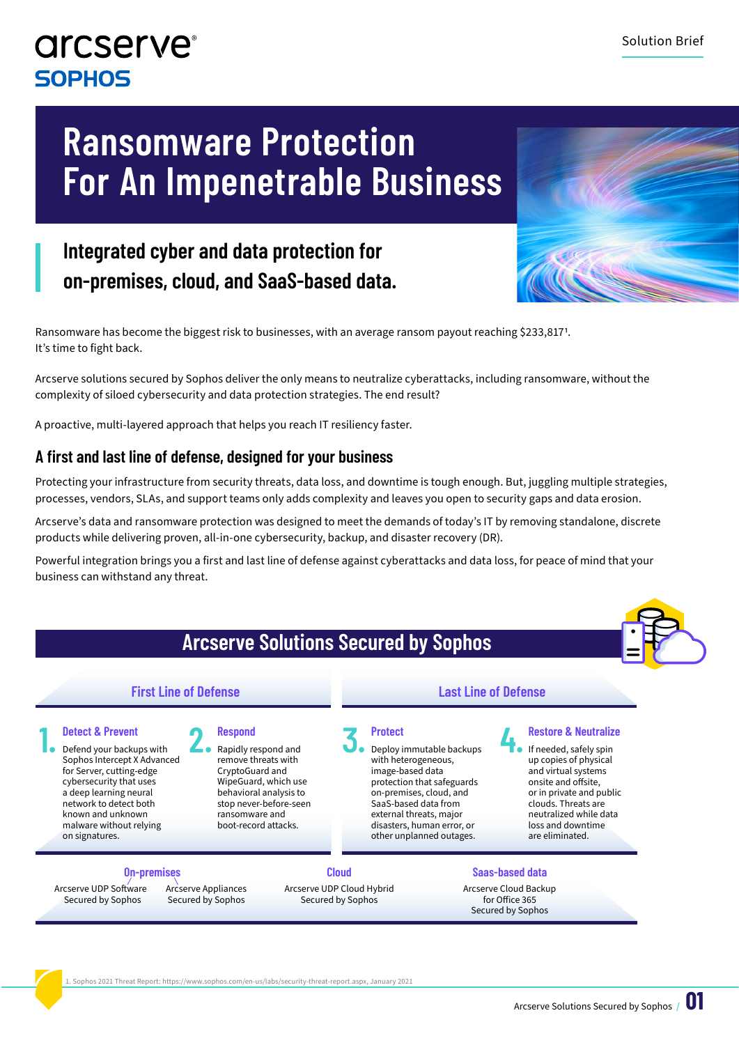### **arcserve**® **SOPHOS**

## **Ransomware Protection For An Impenetrable Business**

### **Integrated cyber and data protection for on-premises, cloud, and SaaS-based data.**



Ransomware has become the biggest risk to businesses, with an average ransom payout reaching \$233,817! It's time to fight back.

Arcserve solutions secured by Sophos deliver the only means to neutralize cyberattacks, including ransomware, without the complexity of siloed cybersecurity and data protection strategies. The end result?

A proactive, multi-layered approach that helps you reach IT resiliency faster.

#### **A first and last line of defense, designed for your business**

Protecting your infrastructure from security threats, data loss, and downtime is tough enough. But, juggling multiple strategies, processes, vendors, SLAs, and support teams only adds complexity and leaves you open to security gaps and data erosion.

Arcserve's data and ransomware protection was designed to meet the demands of today's IT by removing standalone, discrete products while delivering proven, all-in-one cybersecurity, backup, and disaster recovery (DR).

Powerful integration brings you a first and last line of defense against cyberattacks and data loss, for peace of mind that your business can withstand any threat.



1. Sophos 2021 Threat Report: https://www.sophos.com/en-us/labs/security-threat-report.aspx, January 2021